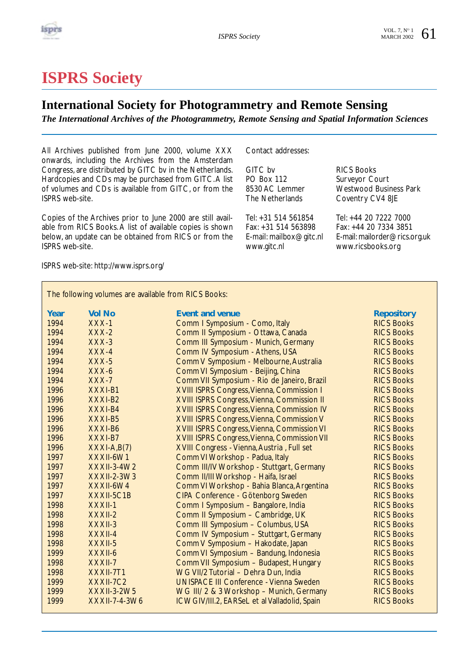

# **ISPRS Society**

### **International Society for Photogrammetry and Remote Sensing**

*The International Archives of the Photogrammetry, Remote Sensing and Spatial Information Sciences*

All Archives published from June 2000, volume XXX onwards, including the Archives from the Amsterdam Congress, are distributed by GITC bv in the Netherlands. Hardcopies and CDs may be purchased from GITC.A list of volumes and CDs is available from GITC, or from the ISPRS web-site.

Copies of the Archives prior to June 2000 are still available from RICS Books. A list of available copies is shown below, an update can be obtained from RICS or from the ISPRS web-site.

ISPRS web-site: http://www.isprs.org/

Contact addresses:

GITC bv RICS Books<br>
PO Box 112 Surveyor Co PO Box 112 Surveyor Court<br>8530 AC Lemmer Mestwood Busin

Tel: +31 514 561854 Tel: +44 20 7222 7000

8530 AC Lemmer Westwood Business Park<br>The Netherlands Coventry CV4 8JE Coventry CV4 8JE

Fax: +44 20 7334 3851 E-mail: mailbox@gitc.nl E-mail: mailorder@rics.org.uk www.ricsbooks.org

The following volumes are available from RICS Books:

| Year<br>1994 | <b>Vol No</b><br>$XXX-1$ | <b>Event and venue</b>                             | <b>Repository</b><br><b>RICS Books</b> |
|--------------|--------------------------|----------------------------------------------------|----------------------------------------|
|              |                          | Comm I Symposium - Como, Italy                     |                                        |
| 1994         | $XXX-2$                  | Comm II Symposium - Ottawa, Canada                 | <b>RICS Books</b>                      |
| 1994         | $XXX-3$                  | Comm III Symposium - Munich, Germany               | <b>RICS Books</b>                      |
| 1994         | $XXX-4$                  | Comm IV Symposium - Athens, USA                    | <b>RICS Books</b>                      |
| 1994         | $XXX-5$                  | Comm V Symposium - Melbourne, Australia            | <b>RICS Books</b>                      |
| 1994         | $XXX-6$                  | Comm VI Symposium - Beijing, China                 | <b>RICS Books</b>                      |
| 1994         | $XXX-7$                  | Comm VII Symposium - Rio de Janeiro, Brazil        | <b>RICS Books</b>                      |
| 1996         | XXXI-B1                  | XVIII ISPRS Congress, Vienna, Commission I         | <b>RICS Books</b>                      |
| 1996         | XXXI-B2                  | <b>XVIII ISPRS Congress, Vienna, Commission II</b> | <b>RICS Books</b>                      |
| 1996         | XXXI-B4                  | XVIII ISPRS Congress, Vienna, Commission IV        | <b>RICS Books</b>                      |
| 1996         | XXXI-B5                  | <b>XVIII ISPRS Congress, Vienna, Commission V</b>  | <b>RICS Books</b>                      |
| 1996         | XXXI-B6                  | <b>XVIII ISPRS Congress, Vienna, Commission VI</b> | <b>RICS Books</b>                      |
| 1996         | XXXI-B7                  | XVIII ISPRS Congress, Vienna, Commission VII       | <b>RICS Books</b>                      |
| 1996         | $XXXI-A,B(7)$            | XVIII Congress - Vienna, Austria, Full set         | <b>RICS Books</b>                      |
| 1997         | XXXII-6W1                | Comm VI Workshop - Padua, Italy                    | <b>RICS Books</b>                      |
| 1997         | $XXXII-3-4W2$            | Comm III/IV Workshop - Stuttgart, Germany          | <b>RICS Books</b>                      |
| 1997         | <b>XXXII-2-3W3</b>       | Comm II/III Workshop - Haifa, Israel               | <b>RICS Books</b>                      |
| 1997         | XXXII-6W4                | Comm VI Workshop - Bahia Blanca, Argentina         | <b>RICS Books</b>                      |
| 1997         | XXXII-5C1B               | CIPA Conference - Götenborg Sweden                 | <b>RICS Books</b>                      |
| 1998         | $XXXII-1$                | Comm I Symposium - Bangalore, India                | <b>RICS Books</b>                      |
| 1998         | XXXII-2                  | Comm II Symposium - Cambridge, UK                  | <b>RICS Books</b>                      |
| 1998         | XXXII-3                  | Comm III Symposium - Columbus, USA                 | <b>RICS Books</b>                      |
| 1998         | $XXXII-4$                | Comm IV Symposium - Stuttgart, Germany             | <b>RICS Books</b>                      |
| 1998         | XXXII-5                  | Comm V Symposium - Hakodate, Japan                 | <b>RICS Books</b>                      |
| 1999         | XXXII-6                  | Comm VI Symposium - Bandung, Indonesia             | <b>RICS Books</b>                      |
| 1998         | XXXII-7                  | Comm VII Symposium - Budapest, Hungary             | <b>RICS Books</b>                      |
| 1998         | XXXII-7T1                | WG VII/2 Tutorial - Dehra Dun, India               | <b>RICS Books</b>                      |
| 1999         | XXXII-7C2                | <b>UNISPACE III Conference - Vienna Sweden</b>     | <b>RICS Books</b>                      |
| 1999         | XXXII-3-2W5              | WG III/ 2 & 3 Workshop - Munich, Germany           | <b>RICS Books</b>                      |
| 1999         | XXXII-7-4-3W6            | ICWGIV/III.2, EARSeL et al Valladolid, Spain       | <b>RICS Books</b>                      |
|              |                          |                                                    |                                        |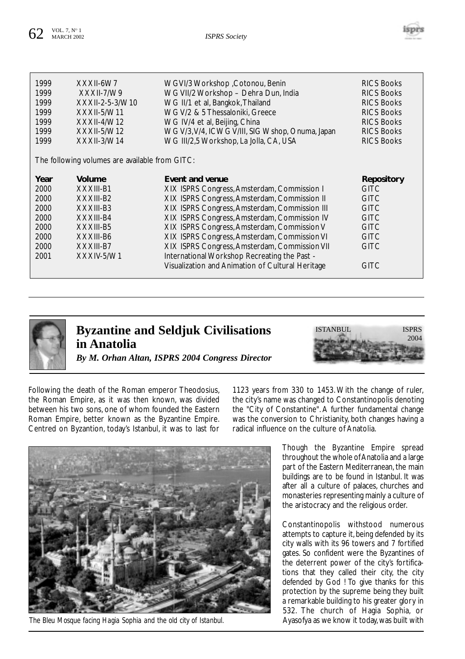

| Volume<br>Year<br>Event and venue<br>Repository<br>XIX ISPRS Congress, Amsterdam, Commission I<br>2000<br>XXXIII-B1<br><b>GITC</b><br>XIX ISPRS Congress, Amsterdam, Commission II<br>2000<br>XXXIII-B2<br><b>GITC</b><br>XIX ISPRS Congress, Amsterdam, Commission III<br>XXXIII-B3<br><b>GITC</b><br>2000<br>XIX ISPRS Congress, Amsterdam, Commission IV<br>2000<br>XXXIII-B4<br><b>GITC</b><br>XIX ISPRS Congress, Amsterdam, Commission V<br>XXXIII-B5<br>2000<br><b>GITC</b><br>XIX ISPRS Congress, Amsterdam, Commission VI<br>2000<br>XXXIII-B6<br><b>GITC</b><br>XIX ISPRS Congress, Amsterdam, Commission VII<br>2000<br>XXXIII-B7<br><b>GITC</b><br>International Workshop Recreating the Past -<br>2001<br>XXXIV-5/W1 | 1999<br>1999<br>1999<br>1999<br>1999<br>1999<br>1999 | XXXII-6W7<br>$XXXII-7/W9$<br>XXXII-2-5-3/W10<br>$XXXII-5/W11$<br>$XXXII-4/W12$<br>XXXII-5/W12<br>$XXXII-3/W14$<br>The following volumes are available from GITC: | WGVI/3 Workshop , Cotonou, Benin<br>WG VII/2 Workshop - Dehra Dun, India<br>WG II/1 et al, Bangkok, Thailand<br>WG V/2 & 5 Thessaloniki, Greece<br>WG IV/4 et al, Beijing, China<br>WG V/3, V/4, ICWG V/III, SIG Wshop, Onuma, Japan<br>WG III/2,5 Workshop, La Jolla, CA, USA | <b>RICS Books</b><br><b>RICS Books</b><br><b>RICS Books</b><br><b>RICS Books</b><br><b>RICS Books</b><br><b>RICS Books</b><br><b>RICS Books</b> |
|-----------------------------------------------------------------------------------------------------------------------------------------------------------------------------------------------------------------------------------------------------------------------------------------------------------------------------------------------------------------------------------------------------------------------------------------------------------------------------------------------------------------------------------------------------------------------------------------------------------------------------------------------------------------------------------------------------------------------------------|------------------------------------------------------|------------------------------------------------------------------------------------------------------------------------------------------------------------------|--------------------------------------------------------------------------------------------------------------------------------------------------------------------------------------------------------------------------------------------------------------------------------|-------------------------------------------------------------------------------------------------------------------------------------------------|
| Visualization and Animation of Cultural Heritage<br><b>GITC</b>                                                                                                                                                                                                                                                                                                                                                                                                                                                                                                                                                                                                                                                                   |                                                      |                                                                                                                                                                  |                                                                                                                                                                                                                                                                                |                                                                                                                                                 |



### **Byzantine and Seldjuk Civilisations in Anatolia** *By M. Orhan Altan, ISPRS 2004 Congress Director*



Following the death of the Roman emperor Theodosius, the Roman Empire, as it was then known, was divided between his two sons, one of whom founded the Eastern Roman Empire, better known as the Byzantine Empire. Centred on Byzantion, today's Istanbul, it was to last for

1123 years from 330 to 1453. With the change of ruler, the city's name was changed to Constantinopolis denoting the "City of Constantine". A further fundamental change was the conversion to Christianity, both changes having a radical influence on the culture of Anatolia.



*The Bleu Mosque facing Hagia Sophia and the old city of Istanbul.*

Though the Byzantine Empire spread throughout the whole of Anatolia and a large part of the Eastern Mediterranean, the main buildings are to be found in Istanbul. It was after all a culture of palaces, churches and monasteries representing mainly a culture of the aristocracy and the religious order.

Constantinopolis withstood numerous attempts to capture it, being defended by its city walls with its 96 towers and 7 fortified gates. So confident were the Byzantines of the deterrent power of the city's fortifications that they called their city, the city defended by God ! To give thanks for this protection by the supreme being they built a remarkable building to his greater glory in 532. The church of Hagia Sophia, or Ayasofya as we know it today, was built with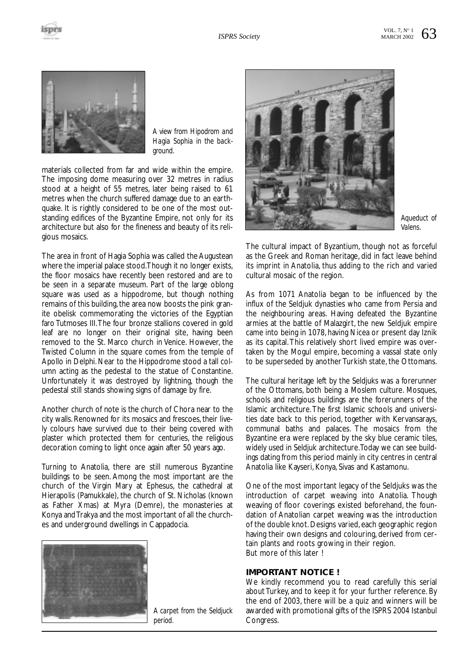



*A view from Hipodrom and Hagia Sophia in the background.*

materials collected from far and wide within the empire. The imposing dome measuring over 32 metres in radius stood at a height of 55 metres, later being raised to 61 metres when the church suffered damage due to an earthquake. It is rightly considered to be one of the most outstanding edifices of the Byzantine Empire, not only for its architecture but also for the fineness and beauty of its religious mosaics.

The area in front of Hagia Sophia was called the Augustean where the imperial palace stood.Though it no longer exists, the floor mosaics have recently been restored and are to be seen in a separate museum. Part of the large oblong square was used as a hippodrome, but though nothing remains of this building, the area now boosts the pink granite obelisk commemorating the victories of the Egyptian faro Tutmoses III. The four bronze stallions covered in gold leaf are no longer on their original site, having been removed to the St. Marco church in Venice. However, the Twisted Column in the square comes from the temple of Apollo in Delphi. Near to the Hippodrome stood a tall column acting as the pedestal to the statue of Constantine. Unfortunately it was destroyed by lightning, though the pedestal still stands showing signs of damage by fire.

Another church of note is the church of Chora near to the city walls. Renowned for its mosaics and frescoes, their lively colours have survived due to their being covered with plaster which protected them for centuries, the religious decoration coming to light once again after 50 years ago.

Turning to Anatolia, there are still numerous Byzantine buildings to be seen. Among the most important are the church of the Virgin Mary at Ephesus, the cathedral at Hierapolis (Pamukkale), the church of St. Nicholas (known as Father Xmas) at Myra (Demre), the monasteries at Konya and Trakya and the most important of all the churches and underground dwellings in Cappadocia.



*A carpet from the Seldjuck period.*



*Aqueduct of Valens.*

The cultural impact of Byzantium, though not as forceful as the Greek and Roman heritage, did in fact leave behind its imprint in Anatolia, thus adding to the rich and varied cultural mosaic of the region.

As from 1071 Anatolia began to be influenced by the influx of the Seldjuk dynasties who came from Persia and the neighbouring areas. Having defeated the Byzantine armies at the battle of Malazgirt, the new Seldjuk empire came into being in 1078, having Nicea or present day Iznik as its capital.This relatively short lived empire was overtaken by the Mogul empire, becoming a vassal state only to be superseded by another Turkish state, the Ottomans.

The cultural heritage left by the Seldjuks was a forerunner of the Ottomans, both being a Moslem culture. Mosques, schools and religious buildings are the forerunners of the Islamic architecture.The first Islamic schools and universities date back to this period, together with Kervansarays, communal baths and palaces. The mosaics from the Byzantine era were replaced by the sky blue ceramic tiles, widely used in Seldjuk architecture.Today we can see buildings dating from this period mainly in city centres in central Anatolia like Kayseri, Konya, Sivas and Kastamonu.

One of the most important legacy of the Seldjuks was the introduction of carpet weaving into Anatolia. Though weaving of floor coverings existed beforehand, the foundation of Anatolian carpet weaving was the introduction of the double knot. Designs varied, each geographic region having their own designs and colouring, derived from certain plants and roots growing in their region. But more of this later !

#### **IMPORTANT NOTICE !**

We kindly recommend you to read carefully this serial about Turkey, and to keep it for your further reference. By the end of 2003, there will be a quiz and winners will be awarded with promotional gifts of the ISPRS 2004 Istanbul Congress.

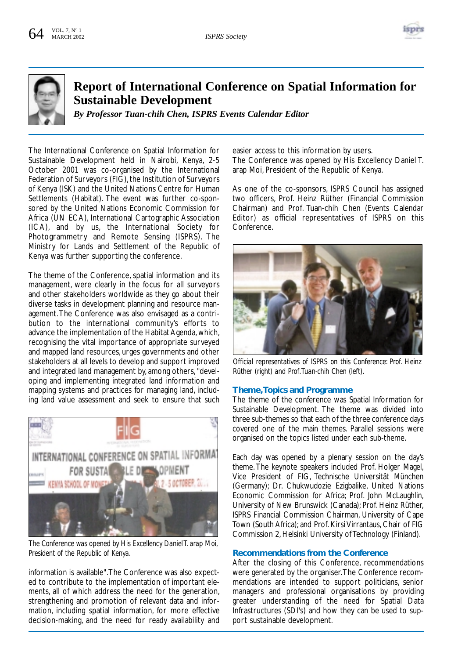



## **Report of International Conference on Spatial Information for Sustainable Development**

*By Professor Tuan-chih Chen, ISPRS Events Calendar Editor*

The International Conference on Spatial Information for Sustainable Development held in Nairobi, Kenya, 2-5 October 2001 was co-organised by the International Federation of Surveyors (FIG), the Institution of Surveyors of Kenya (ISK) and the United Nations Centre for Human Settlements (Habitat). The event was further co-sponsored by the United Nations Economic Commission for Africa (UN ECA), International Cartographic Association (ICA), and by us, the International Society for Photogrammetry and Remote Sensing (ISPRS). The Ministry for Lands and Settlement of the Republic of Kenya was further supporting the conference.

The theme of the Conference, spatial information and its management, were clearly in the focus for all surveyors and other stakeholders worldwide as they go about their diverse tasks in development planning and resource management.The Conference was also envisaged as a contribution to the international community's efforts to advance the implementation of the Habitat Agenda, which, recognising the vital importance of appropriate surveyed and mapped land resources, urges governments and other stakeholders at all levels to develop and support improved and integrated land management by, among others, "developing and implementing integrated land information and mapping systems and practices for managing land, including land value assessment and seek to ensure that such



*The Conference was opened by His Excellency Daniel T. arap Moi, President of the Republic of Kenya.*

information is available".The Conference was also expected to contribute to the implementation of important elements, all of which address the need for the generation, strengthening and promotion of relevant data and information, including spatial information, for more effective decision-making, and the need for ready availability and easier access to this information by users. The Conference was opened by His Excellency Daniel T. arap Moi, President of the Republic of Kenya.

As one of the co-sponsors, ISPRS Council has assigned two officers, Prof. Heinz Rüther (Financial Commission Chairman) and Prof. Tuan-chih Chen (Events Calendar Editor) as official representatives of ISPRS on this Conference.



*Official representatives of ISPRS on this Conference: Prof. Heinz Rüther (right) and Prof.Tuan-chih Chen (left).*

#### **Theme,Topics and Programme**

The theme of the conference was Spatial Information for Sustainable Development. The theme was divided into three sub-themes so that each of the three conference days covered one of the main themes. Parallel sessions were organised on the topics listed under each sub-theme.

Each day was opened by a plenary session on the day's theme.The keynote speakers included Prof. Holger Magel, Vice President of FIG, Technische Universität München (Germany); Dr. Chukwudozie Ezigbalike, United Nations Economic Commission for Africa; Prof. John McLaughlin, University of New Brunswick (Canada); Prof. Heinz Rüther, ISPRS Financial Commission Chairman, University of Cape Town (South Africa); and Prof. Kirsi Virrantaus, Chair of FIG Commission 2, Helsinki University of Technology (Finland).

#### **Recommendations from the Conference**

After the closing of this Conference, recommendations were generated by the organiser.The Conference recommendations are intended to support politicians, senior managers and professional organisations by providing greater understanding of the need for Spatial Data Infrastructures (SDI's) and how they can be used to support sustainable development.